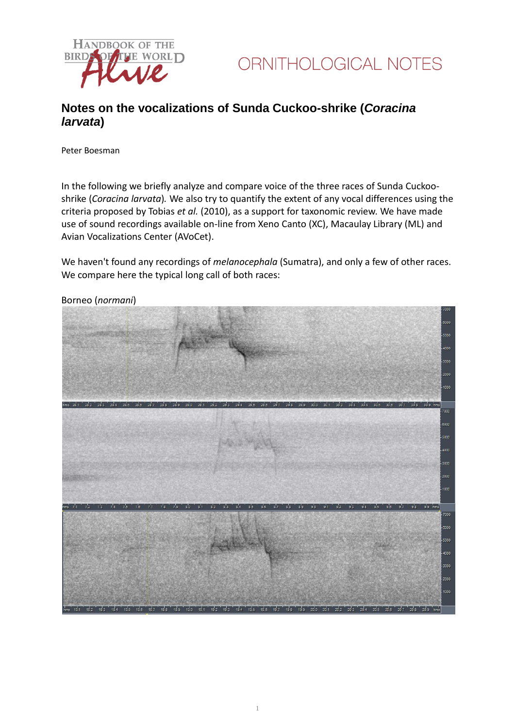

## **Notes on the vocalizations of Sunda Cuckoo-shrike (***Coracina larvata***)**

Peter Boesman

In the following we briefly analyze and compare voice of the three races of Sunda Cuckooshrike (*Coracina larvata*)*.* We also try to quantify the extent of any vocal differences using the criteria proposed by Tobias *et al.* (2010), as a support for taxonomic review. We have made use of sound recordings available on-line from Xeno Canto (XC), Macaulay Library (ML) and Avian Vocalizations Center (AVoCet).

We haven't found any recordings of *melanocephala* (Sumatra), and only a few of other races. We compare here the typical long call of both races:



Borneo (*normani*)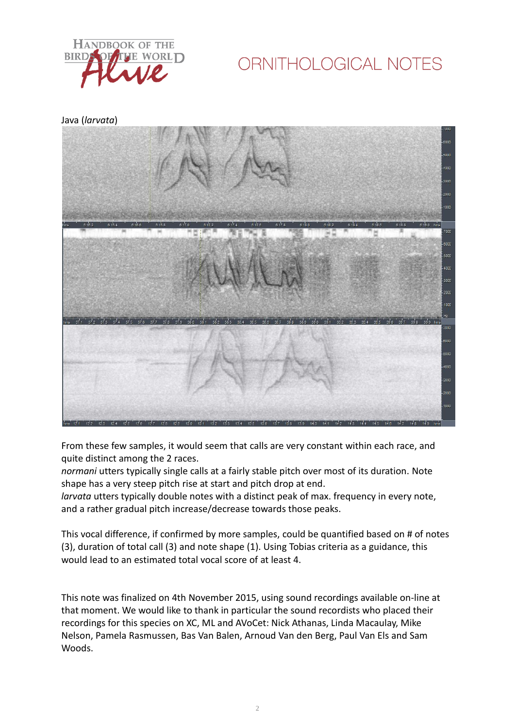

# ORNITHOLOGICAL NOTES

#### Java (*larvata*)



From these few samples, it would seem that calls are very constant within each race, and quite distinct among the 2 races.

*normani* utters typically single calls at a fairly stable pitch over most of its duration. Note shape has a very steep pitch rise at start and pitch drop at end.

*larvata* utters typically double notes with a distinct peak of max. frequency in every note, and a rather gradual pitch increase/decrease towards those peaks.

This vocal difference, if confirmed by more samples, could be quantified based on # of notes (3), duration of total call (3) and note shape (1). Using Tobias criteria as a guidance, this would lead to an estimated total vocal score of at least 4.

This note was finalized on 4th November 2015, using sound recordings available on-line at that moment. We would like to thank in particular the sound recordists who placed their recordings for this species on XC, ML and AVoCet: Nick Athanas, Linda Macaulay, Mike Nelson, Pamela Rasmussen, Bas Van Balen, Arnoud Van den Berg, Paul Van Els and Sam Woods.